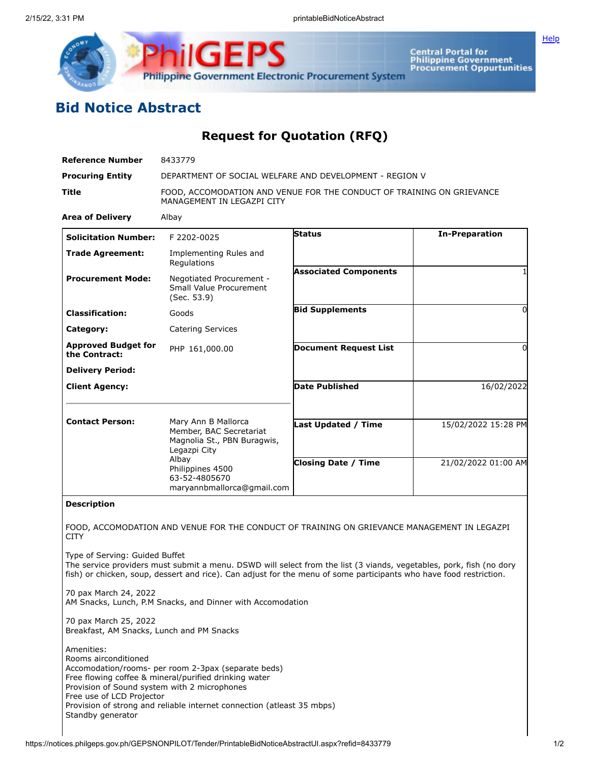

**Central Portal for<br>Philippine Government<br>Procurement Oppurtunities** 

## **Bid Notice Abstract**

## **Request for Quotation (RFQ)**

| <b>Reference Number</b>                                                                                         | 8433779                                                                                                                                                                                                                                   |                              |                       |
|-----------------------------------------------------------------------------------------------------------------|-------------------------------------------------------------------------------------------------------------------------------------------------------------------------------------------------------------------------------------------|------------------------------|-----------------------|
| <b>Procuring Entity</b>                                                                                         | DEPARTMENT OF SOCIAL WELFARE AND DEVELOPMENT - REGION V                                                                                                                                                                                   |                              |                       |
| Title                                                                                                           | FOOD, ACCOMODATION AND VENUE FOR THE CONDUCT OF TRAINING ON GRIEVANCE<br>MANAGEMENT IN LEGAZPI CITY                                                                                                                                       |                              |                       |
| <b>Area of Delivery</b>                                                                                         | Albay                                                                                                                                                                                                                                     |                              |                       |
| <b>Solicitation Number:</b>                                                                                     | F 2202-0025                                                                                                                                                                                                                               | Status                       | <b>In-Preparation</b> |
| <b>Trade Agreement:</b>                                                                                         | Implementing Rules and<br>Regulations                                                                                                                                                                                                     |                              |                       |
| <b>Procurement Mode:</b>                                                                                        | Negotiated Procurement -<br>Small Value Procurement<br>(Sec. 53.9)                                                                                                                                                                        | <b>Associated Components</b> | 1                     |
| <b>Classification:</b>                                                                                          | Goods                                                                                                                                                                                                                                     | <b>Bid Supplements</b>       | 0                     |
| Category:                                                                                                       | <b>Catering Services</b>                                                                                                                                                                                                                  |                              |                       |
| <b>Approved Budget for</b><br>the Contract:                                                                     | PHP 161,000.00                                                                                                                                                                                                                            | <b>Document Request List</b> | 0                     |
| <b>Delivery Period:</b>                                                                                         |                                                                                                                                                                                                                                           |                              |                       |
| <b>Client Agency:</b>                                                                                           |                                                                                                                                                                                                                                           | <b>Date Published</b>        | 16/02/2022            |
| <b>Contact Person:</b>                                                                                          | Mary Ann B Mallorca<br>Member, BAC Secretariat<br>Magnolia St., PBN Buragwis,<br>Legazpi City<br>Albay<br>Philippines 4500<br>63-52-4805670<br>maryannbmallorca@gmail.com                                                                 | <b>Last Updated / Time</b>   | 15/02/2022 15:28 PM   |
|                                                                                                                 |                                                                                                                                                                                                                                           | <b>Closing Date / Time</b>   | 21/02/2022 01:00 AM   |
| <b>Description</b>                                                                                              |                                                                                                                                                                                                                                           |                              |                       |
| <b>CITY</b>                                                                                                     | FOOD, ACCOMODATION AND VENUE FOR THE CONDUCT OF TRAINING ON GRIEVANCE MANAGEMENT IN LEGAZPI                                                                                                                                               |                              |                       |
| Type of Serving: Guided Buffet                                                                                  | The service providers must submit a menu. DSWD will select from the list (3 viands, vegetables, pork, fish (no dory<br>fish) or chicken, soup, dessert and rice). Can adjust for the menu of some participants who have food restriction. |                              |                       |
| 70 pax March 24, 2022                                                                                           | AM Snacks, Lunch, P.M Snacks, and Dinner with Accomodation                                                                                                                                                                                |                              |                       |
| 70 pax March 25, 2022<br>Breakfast, AM Snacks, Lunch and PM Snacks                                              |                                                                                                                                                                                                                                           |                              |                       |
| Amenities:<br>Rooms airconditioned<br>Provision of Sound system with 2 microphones<br>Free use of LCD Projector | Accomodation/rooms- per room 2-3pax (separate beds)<br>Free flowing coffee & mineral/purified drinking water<br>Provision of strong and reliable internet connection (atleast 35 mbps)                                                    |                              |                       |

Standby generator